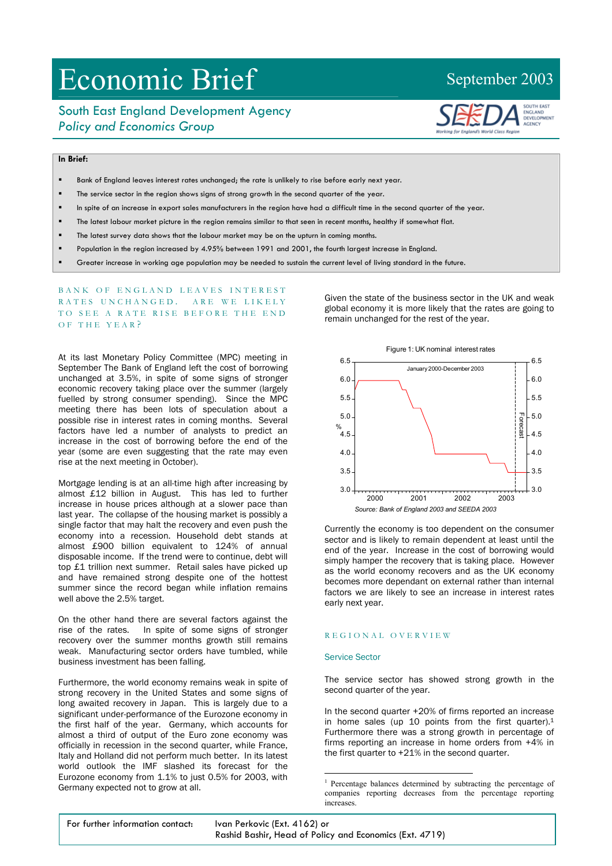# Economic Brief September 2003

## South East England Development Agency *Policy and Economics Group*



## **In Brief:**

- Bank of England leaves interest rates unchanged; the rate is unlikely to rise before early next year.
- The service sector in the region shows signs of strong growth in the second quarter of the year.
- In spite of an increase in export sales manufacturers in the region have had a difficult time in the second quarter of the year.
- The latest labour market picture in the region remains similar to that seen in recent months, healthy if somewhat flat.
- The latest survey data shows that the labour market may be on the upturn in coming months.
- Population in the region increased by 4.95% between 1991 and 2001, the fourth largest increase in England.
- Greater increase in working age population may be needed to sustain the current level of living standard in the future.

### BANK OF ENGLAND LEAVES INTEREST RATES UNCHANGED. ARE WE LIKELY TO SEE A RATE RISE BEFORE THE END OF THE Y E A R ?

At its last Monetary Policy Committee (MPC) meeting in September The Bank of England left the cost of borrowing unchanged at 3.5%, in spite of some signs of stronger economic recovery taking place over the summer (largely fuelled by strong consumer spending). Since the MPC meeting there has been lots of speculation about a possible rise in interest rates in coming months. Several factors have led a number of analysts to predict an increase in the cost of borrowing before the end of the year (some are even suggesting that the rate may even rise at the next meeting in October).

Mortgage lending is at an all-time high after increasing by almost £12 billion in August. This has led to further increase in house prices although at a slower pace than last year. The collapse of the housing market is possibly a single factor that may halt the recovery and even push the economy into a recession. Household debt stands at almost £900 billion equivalent to 124% of annual disposable income. If the trend were to continue, debt will top £1 trillion next summer. Retail sales have picked up and have remained strong despite one of the hottest summer since the record began while inflation remains well above the 2.5% target.

On the other hand there are several factors against the rise of the rates. In spite of some signs of stronger recovery over the summer months growth still remains weak. Manufacturing sector orders have tumbled, while business investment has been falling.

Furthermore, the world economy remains weak in spite of strong recovery in the United States and some signs of long awaited recovery in Japan. This is largely due to a significant under-performance of the Eurozone economy in the first half of the year. Germany, which accounts for almost a third of output of the Euro zone economy was officially in recession in the second quarter, while France, Italy and Holland did not perform much better. In its latest world outlook the IMF slashed its forecast for the Eurozone economy from 1.1% to just 0.5% for 2003, with Germany expected not to grow at all.

Given the state of the business sector in the UK and weak global economy it is more likely that the rates are going to remain unchanged for the rest of the year.



Currently the economy is too dependent on the consumer sector and is likely to remain dependent at least until the end of the year. Increase in the cost of borrowing would simply hamper the recovery that is taking place. However as the world economy recovers and as the UK economy becomes more dependant on external rather than internal factors we are likely to see an increase in interest rates early next year.

#### REGI ONA L OVERVIE W

#### Service Sector

The service sector has showed strong growth in the second quarter of the year.

In the second quarter +20% of firms reported an increase in home sales (up 10 points from the first quarter).<sup>1</sup> Furthermore there was a strong growth in percentage of firms reporting an increase in home orders from +4% in the first quarter to +21% in the second quarter.

 $\overline{a}$ 

<span id="page-0-0"></span><sup>&</sup>lt;sup>1</sup> Percentage balances determined by subtracting the percentage of companies reporting decreases from the percentage reporting increases.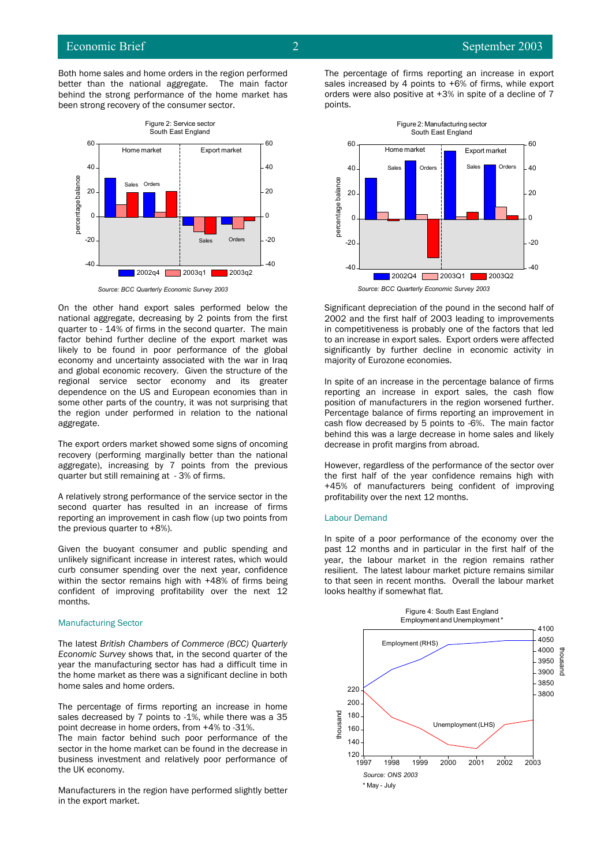

*Source: BCC Quarterly Economic Survey 2003*

On the other hand export sales performed below the national aggregate, decreasing by 2 points from the first quarter to - 14% of firms in the second quarter. The main factor behind further decline of the export market was likely to be found in poor performance of the global economy and uncertainty associated with the war in Iraq and global economic recovery. Given the structure of the regional service sector economy and its greater dependence on the US and European economies than in some other parts of the country, it was not surprising that the region under performed in relation to the national aggregate.

The export orders market showed some signs of oncoming recovery (performing marginally better than the national aggregate), increasing by 7 points from the previous quarter but still remaining at - 3% of firms.

A relatively strong performance of the service sector in the second quarter has resulted in an increase of firms reporting an improvement in cash flow (up two points from the previous quarter to +8%).

Given the buoyant consumer and public spending and unlikely significant increase in interest rates, which would curb consumer spending over the next year, confidence within the sector remains high with +48% of firms being confident of improving profitability over the next 12 months.

#### Manufacturing Sector

The latest *British Chambers of Commerce (BCC) Quarterly Economic Survey* shows that, in the second quarter of the year the manufacturing sector has had a difficult time in the home market as there was a significant decline in both home sales and home orders.

The percentage of firms reporting an increase in home sales decreased by 7 points to -1%, while there was a 35 point decrease in home orders, from +4% to -31%.

The main factor behind such poor performance of the sector in the home market can be found in the decrease in business investment and relatively poor performance of the UK economy.

Manufacturers in the region have performed slightly better in the export market.

The percentage of firms reporting an increase in export sales increased by 4 points to +6% of firms, while export orders were also positive at +3% in spite of a decline of 7 points.



Significant depreciation of the pound in the second half of 2002 and the first half of 2003 leading to improvements in competitiveness is probably one of the factors that led to an increase in export sales. Export orders were affected significantly by further decline in economic activity in majority of Eurozone economies.

In spite of an increase in the percentage balance of firms reporting an increase in export sales, the cash flow position of manufacturers in the region worsened further. Percentage balance of firms reporting an improvement in cash flow decreased by 5 points to -6%. The main factor behind this was a large decrease in home sales and likely decrease in profit margins from abroad.

However, regardless of the performance of the sector over the first half of the year confidence remains high with +45% of manufacturers being confident of improving

#### Labour Demand

In spite of a poor performance of the economy over the past 12 months and in particular in the first half of the year, the labour market in the region remains rather resilient. The latest labour market picture remains similar to that seen in recent months. Overall the labour market looks healthy if somewhat flat.

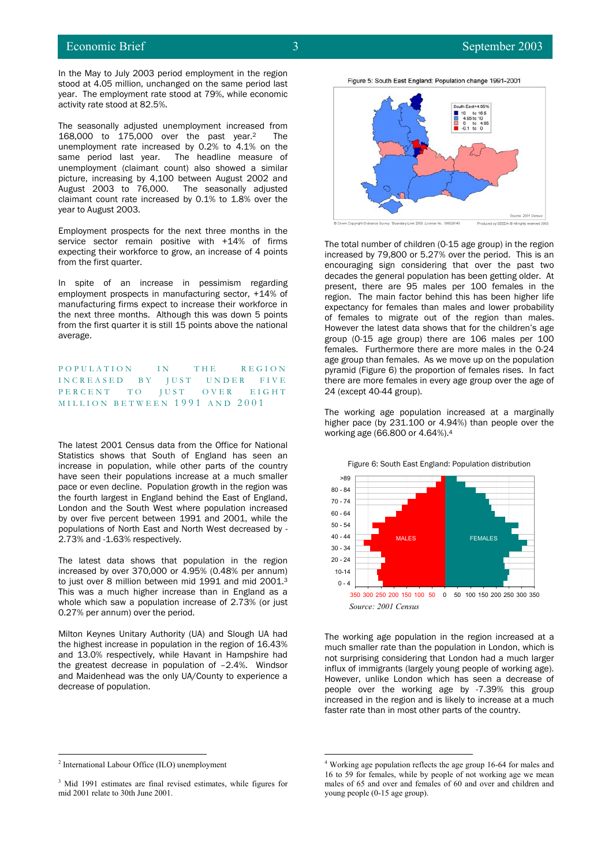In the May to July 2003 period employment in the region stood at 4.05 million, unchanged on the same period last year. The employment rate stood at 79%, while economic activity rate stood at 82.5%.

The seasonally adjusted unemployment increased from 168,000 to 175,000 over the past year.[2](#page-2-0) The unemployment rate increased by 0.2% to 4.1% on the same period last year. The headline measure of unemployment (claimant count) also showed a similar picture, increasing by 4,100 between August 2002 and August 2003 to 76,000. The seasonally adjusted claimant count rate increased by 0.1% to 1.8% over the year to August 2003.

Employment prospects for the next three months in the service sector remain positive with +14% of firms expecting their workforce to grow, an increase of 4 points from the first quarter.

In spite of an increase in pessimism regarding employment prospects in manufacturing sector, +14% of manufacturing firms expect to increase their workforce in the next three months. Although this was down 5 points from the first quarter it is still 15 points above the national average.

POPULATION IN THE REGION INCREASED BY JUST UNDER FIVE PERCENT TO JUST OVER EIGHT MILLION BETWEEN 1991 AND 2001

The latest 2001 Census data from the Office for National Statistics shows that South of England has seen an increase in population, while other parts of the country have seen their populations increase at a much smaller pace or even decline. Population growth in the region was the fourth largest in England behind the East of England, London and the South West where population increased by over five percent between 1991 and 2001, while the populations of North East and North West decreased by - 2.73% and -1.63% respectively.

The latest data shows that population in the region increased by over 370,000 or 4.95% (0.48% per annum) to just over 8 million between mid 1991 and mid 2001[.3](#page-2-1)  This was a much higher increase than in England as a whole which saw a population increase of 2.73% (or just whole which saw a population increase of 2.73% (or just<br>0.27% per annum) over the period.

Milton Keynes Unitary Authority (UA) and Slough UA had the highest increase in population in the region of 16.43% and 13.0% respectively, while Havant in Hampshire had the greatest decrease in population of –2.4%. Windsor and Maidenhead was the only UA/County to experience a decrease of population.



Figure 5: South East England: Population change 1991-2001

 $-20000$ 

The total number of children (0-15 age group) in the region increased by 79,800 or 5.27% over the period. This is an encouraging sign considering that over the past two decades the general population has been getting older. At present, there are 95 males per 100 females in the region. The main factor behind this has been higher life expectancy for females than males and lower probability of females to migrate out of the region than males. However the latest data shows that for the children's age group (0-15 age group) there are 106 males per 100 females. Furthermore there are more males in the 0-24 age group than females. As we move up on the population pyramid (Figure 6) the proportion of females rises. In fact there are more females in every age group over the age of 24 (except 40-44 group).

The working age population increased at a marginally higher pace (by 231.100 or 4.94%) than people over the working age (66.800 or 4.64%).[4](#page-2-2)



<span id="page-2-2"></span>The working age population in the region increased at a much smaller rate than the population in London, which is not surprising considering that London had a much larger influx of immigrants (largely young people of working age). However, unlike London which has seen a decrease of people over the working age by -7.39% this group increased in the region and is likely to increase at a much faster rate than in most other parts of the country.

 $\frac{1}{2}$ 

<span id="page-2-1"></span><sup>&</sup>lt;sup>3</sup> Mid 1991 estimates are final revised estimates, while figures for mid 2001 relate to 30th June 2001.

<span id="page-2-0"></span><sup>&</sup>lt;sup>2</sup> International Labour Office (ILO) unemployment <sup>4</sup> Working age population reflects the age group 16-64 for males and 16 to 59 for females, while by people of not working age we mean males of 65 and over and females of 60 and over and children and young people (0-15 age group).